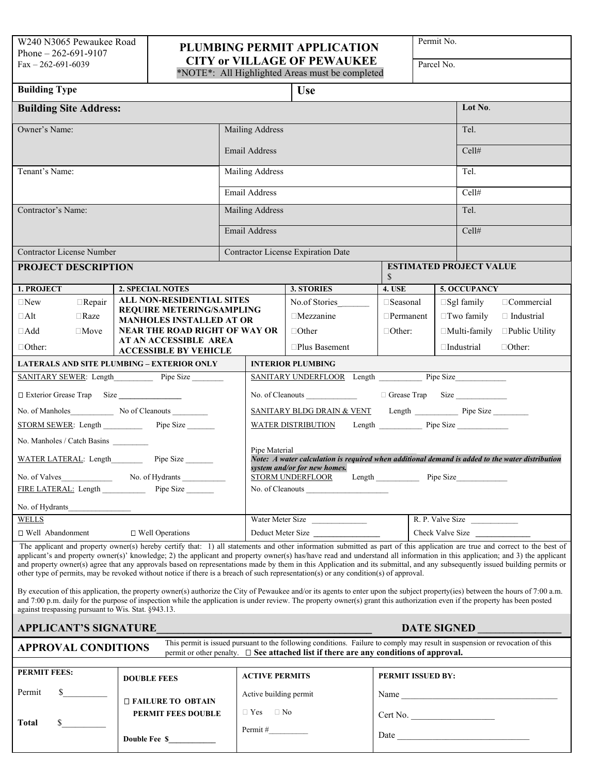## Phone – 262-691-9107 **PLUMBING PERMIT APPLICATION** Fax – 262-691-6039 **CITY** or VILLAGE OF PEWAUKEE

Permit No.

\*NOTE\*: All Highlighted Areas must be completed

**Building Type USE Building Site Address:** Lot No. Owner's Name: Tel. **The Community Community Community Community Community Community Community Community Community Community Community Community Community Community Community Community Community Community Community Communit** Email Address Cell# Tenant's Name: **Name:** Mailing Address Tel. Email Address Cell# Contractor's Name: Tel. **Mailing Address** Tel. **Tel.** 2014 Email Address Cell# Contractor License Number Contractor License Expiration Date **PROJECT DESCRIPTION ESTIMATED PROJECT VALUE** \$ **1. PROJECT 2. SPECIAL NOTES 3. STORIES 4. USE 5. OCCUPANCY** New Repair **ALL NON-RESIDENTIAL SITES REQUIRE METERING/SAMPLING**  □Alt □Raze MANHOLES INSTALLED AT OR Nezzanine Permanent Puwo family □ Industrial  $\Box$ **Add**  $\Box$ Move NEAR THE ROAD RIGHT OF WAY OR |  $\Box$ Other  $\Box$ Other:  $\Box$ Multi-family  $\Box$ Public Utility **AT AN ACCESSIBLE AREA ACCESSIBLE BY VEHICLE** Other: Plus Basement Industrial Other: No.of Stories  $\Box$  Seasonal  $\Box$  Sgl family  $\Box$  Commercial **LATERALS AND SITE PLUMBING – EXTERIOR ONLY INTERIOR PLUMBING** SANITARY SEWER: Length Pipe Size Pipe Size SANITARY UNDERFLOOR Length Pipe Size Exterior Grease Trap Size **\_\_\_\_\_\_\_\_\_\_\_\_\_\_\_\_** No. of Cleanouts \_\_\_\_\_\_\_\_\_\_\_\_\_ Grease Trap Size \_\_\_\_\_\_\_\_\_\_\_\_\_ No. of Manholes\_\_\_\_\_\_\_\_\_\_\_ No of Cleanouts \_\_\_\_\_\_\_\_\_ SANITARY BLDG DRAIN & VENT Length \_\_\_\_\_\_\_\_\_\_\_ Pipe Size \_\_\_\_\_\_\_\_\_ WATER DISTRIBUTION Length \_\_\_\_\_\_\_\_\_\_\_ Pipe Size \_\_\_\_\_\_\_\_\_\_\_\_\_\_\_\_\_\_\_\_\_\_\_\_\_\_\_\_\_\_\_\_ No. Manholes / Catch Basins \_ Pipe Material **Executive Contract Contract Contract Contract Contract Contract Contract Contract Contract Contract Contract Contract Contract Contract Contract Contract Contract Contract Contract Contract Contract Contract** WATER LATERAL: Length Pipe Size *\_\_\_\_\_\_ Note: A water calculation is required when additional demand is added to the water distribution system and/or for new homes.* No. of Valves\_\_\_\_\_\_\_\_\_\_\_\_\_\_\_ No. of Hydrants \_\_\_\_\_\_\_\_\_\_\_\_\_\_\_\_ STORM UNDERFLOOR Length \_\_\_\_\_\_\_\_\_\_\_\_ Pipe Size\_\_\_\_\_\_\_\_\_\_ FIRE LATERAL: Length Pipe Size No. of Cleanouts No. of Cleanouts No. of Hydrants WELLS Water Meter Size \_\_\_\_\_\_\_\_\_\_\_\_\_\_ R. P. Valve Size \_\_\_\_\_\_\_\_\_\_\_\_ Well Abandonment Well Operations Deduct Meter Size **\_\_\_\_\_\_\_\_\_\_\_\_\_\_\_\_\_** Check Valve Size **\_\_\_\_\_\_\_\_\_\_\_\_\_\_** The applicant and property owner(s) hereby certify that: 1) all statements and other information submitted as part of this application are true and correct to the best of applicant's and property owner(s)' knowledge; 2) the applicant and property owner(s) has/have read and understand all information in this application; and 3) the applicant and property owner(s) agree that any approvals based on representations made by them in this Application and its submittal, and any subsequently issued building permits or other type of permits, may be revoked without notice if there is a breach of such representation(s) or any condition(s) of approval. By execution of this application, the property owner(s) authorize the City of Pewaukee and/or its agents to enter upon the subject property(ies) between the hours of 7:00 a.m. and 7:00 p.m. daily for the purpose of inspection while the application is under review. The property owner(s) grant this authorization even if the property has been posted against trespassing pursuant to Wis. Stat. §943.13. **APPLICANT'S SIGNATURE\_\_\_\_\_\_\_\_\_\_\_\_\_\_\_\_\_\_\_\_\_\_\_\_\_\_\_\_\_\_\_\_\_\_\_\_\_\_\_\_ DATE SIGNED \_\_\_\_\_\_\_\_\_\_\_\_\_\_\_\_\_\_\_ APPROVAL CONDITIONS** This permit is issued pursuant to the following conditions. Failure to comply may result in suspension or revocation of this permit or other penalty.  $\Box$  **See attached list if there are any conditions of approval.** 

| <b>PERMIT FEES:</b> |  | <b>DOUBLE FEES</b>        | <b>ACTIVE PERMITS</b>  | <b>PERMIT ISSUED BY:</b> |  |  |
|---------------------|--|---------------------------|------------------------|--------------------------|--|--|
| Permit              |  | <b>DEAILURE TO OBTAIN</b> | Active building permit | Name                     |  |  |
| <b>Total</b>        |  | PERMIT FEES DOUBLE        | $\Box$ Yes $\Box$ No   | Cert No.                 |  |  |
|                     |  | Double Fee \$             | Permit $#$             | Date                     |  |  |